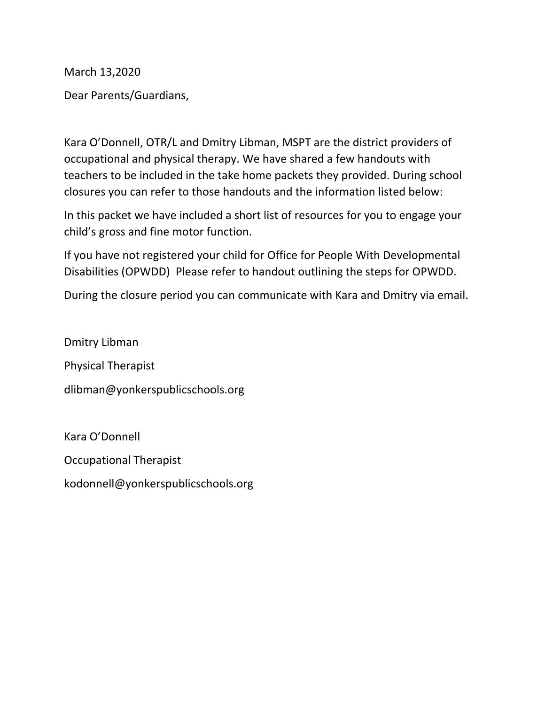March 13,2020

Dear Parents/Guardians,

Kara O'Donnell, OTR/L and Dmitry Libman, MSPT are the district providers of occupational and physical therapy. We have shared a few handouts with teachers to be included in the take home packets they provided. During school closures you can refer to those handouts and the information listed below:

In this packet we have included a short list of resources for you to engage your child's gross and fine motor function.

If you have not registered your child for Office for People With Developmental Disabilities (OPWDD) Please refer to handout outlining the steps for OPWDD.

During the closure period you can communicate with Kara and Dmitry via email.

Dmitry Libman Physical Therapist dlibman@yonkerspublicschools.org

Kara O'Donnell Occupational Therapist kodonnell@yonkerspublicschools.org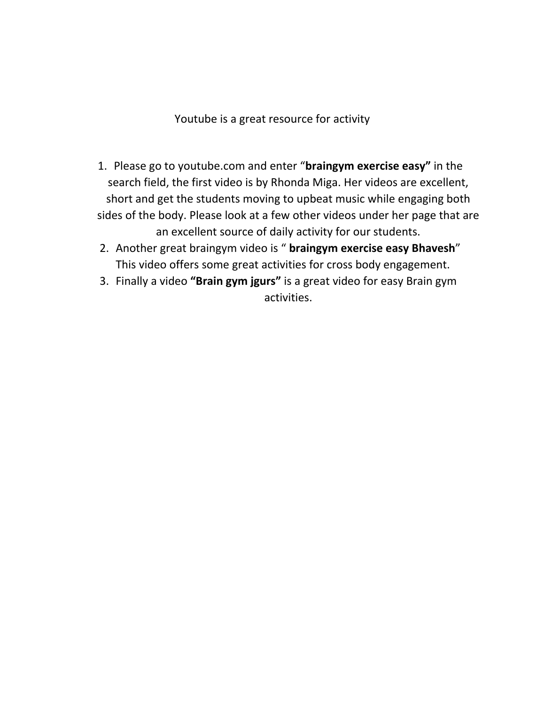Youtube is a great resource for activity

- 1. Please go to youtube.com and enter "**braingym exercise easy"** in the search field, the first video is by Rhonda Miga. Her videos are excellent, short and get the students moving to upbeat music while engaging both sides of the body. Please look at a few other videos under her page that are an excellent source of daily activity for our students.
- 2. Another great braingym video is " **braingym exercise easy Bhavesh**" This video offers some great activities for cross body engagement.
- 3. Finally a video **"Brain gym jgurs"** is a great video for easy Brain gym activities.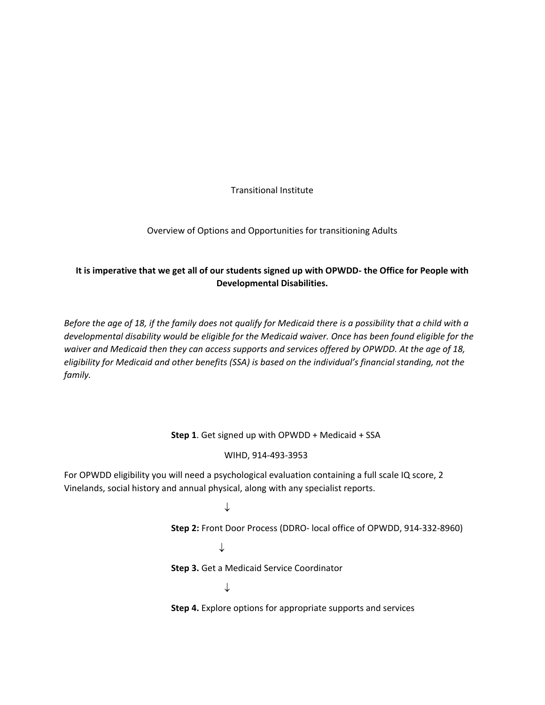Transitional Institute

#### Overview of Options and Opportunities for transitioning Adults

### **It is imperative that we get all of our students signed up with OPWDD- the Office for People with Developmental Disabilities.**

*Before the age of 18, if the family does not qualify for Medicaid there is a possibility that a child with a developmental disability would be eligible for the Medicaid waiver. Once has been found eligible for the waiver and Medicaid then they can access supports and services offered by OPWDD. At the age of 18, eligibility for Medicaid and other benefits (SSA) is based on the individual's financial standing, not the family.* 

**Step 1**. Get signed up with OPWDD + Medicaid + SSA

#### WIHD, 914-493-3953

For OPWDD eligibility you will need a psychological evaluation containing a full scale IQ score, 2 Vinelands, social history and annual physical, along with any specialist reports.

> $\downarrow$  **Step 2:** Front Door Process (DDRO- local office of OPWDD, 914-332-8960)  $\downarrow$  **Step 3.** Get a Medicaid Service Coordinator  $\downarrow$

 **Step 4.** Explore options for appropriate supports and services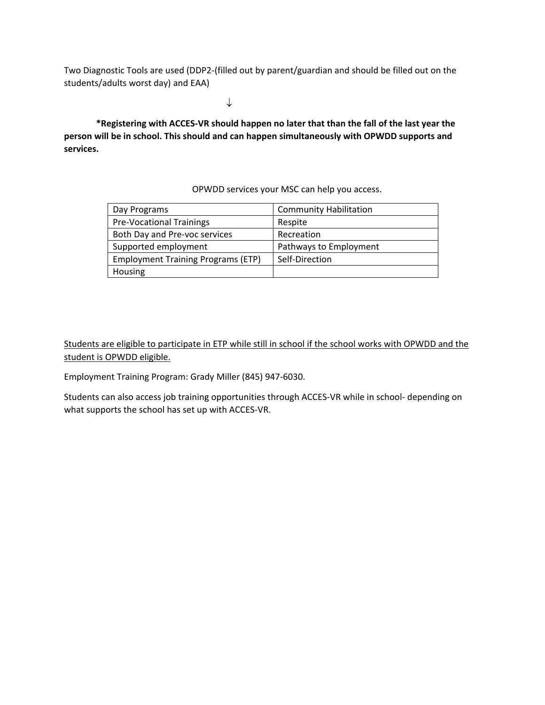Two Diagnostic Tools are used (DDP2-(filled out by parent/guardian and should be filled out on the students/adults worst day) and EAA)

 $\downarrow$ 

**\*Registering with ACCES-VR should happen no later that than the fall of the last year the person will be in school. This should and can happen simultaneously with OPWDD supports and services.** 

#### OPWDD services your MSC can help you access.

| Day Programs                              | <b>Community Habilitation</b> |
|-------------------------------------------|-------------------------------|
| <b>Pre-Vocational Trainings</b>           | Respite                       |
| Both Day and Pre-voc services             | Recreation                    |
| Supported employment                      | Pathways to Employment        |
| <b>Employment Training Programs (ETP)</b> | Self-Direction                |
| Housing                                   |                               |

Students are eligible to participate in ETP while still in school if the school works with OPWDD and the student is OPWDD eligible.

Employment Training Program: Grady Miller (845) 947-6030.

Students can also access job training opportunities through ACCES-VR while in school- depending on what supports the school has set up with ACCES-VR.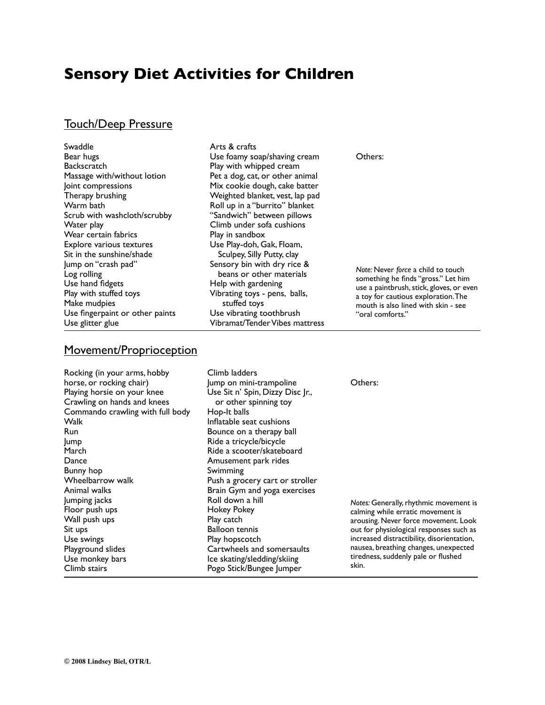# **Sensory Diet Activities for Children**

### Touch/Deep Pressure

| Swaddle                         | Arts & crafts                   |                                                                           |
|---------------------------------|---------------------------------|---------------------------------------------------------------------------|
| Bear hugs                       | Use foamy soap/shaving cream    | Others:                                                                   |
| <b>Backscratch</b>              | Play with whipped cream         |                                                                           |
| Massage with/without lotion     | Pet a dog, cat, or other animal |                                                                           |
| Joint compressions              | Mix cookie dough, cake batter   |                                                                           |
| Therapy brushing                | Weighted blanket, vest, lap pad |                                                                           |
| Warm bath                       | Roll up in a "burrito" blanket  |                                                                           |
| Scrub with washcloth/scrubby    | "Sandwich" between pillows      |                                                                           |
| Water play                      | Climb under sofa cushions       |                                                                           |
| Wear certain fabrics            | Play in sandbox                 |                                                                           |
| <b>Explore various textures</b> | Use Play-doh, Gak, Floam,       |                                                                           |
| Sit in the sunshine/shade       | Sculpey, Silly Putty, clay      |                                                                           |
| Jump on "crash pad"             | Sensory bin with dry rice &     |                                                                           |
| Log rolling                     | beans or other materials        | Note: Never force a child to touch<br>something he finds "gross." Let him |
| Use hand fidgets                | Help with gardening             | use a paintbrush, stick, gloves, or even                                  |
| Play with stuffed toys          | Vibrating toys - pens, balls,   | a toy for cautious exploration. The                                       |
| Make mudpies                    | stuffed toys                    | mouth is also lined with skin - see                                       |
| Use fingerpaint or other paints | Use vibrating toothbrush        | "oral comforts."                                                          |
| Use glitter glue                | Vibramat/Tender Vibes mattress  |                                                                           |

## Movement/Proprioception

| Rocking (in your arms, hobby     | Climb ladders                    |                                            |
|----------------------------------|----------------------------------|--------------------------------------------|
| horse, or rocking chair)         | Jump on mini-trampoline          | Others:                                    |
| Playing horsie on your knee      | Use Sit n' Spin, Dizzy Disc Jr., |                                            |
| Crawling on hands and knees      | or other spinning toy            |                                            |
| Commando crawling with full body | Hop-It balls                     |                                            |
| Walk                             | Inflatable seat cushions         |                                            |
| <b>Run</b>                       | Bounce on a therapy ball         |                                            |
| Jump                             | Ride a tricycle/bicycle          |                                            |
| March                            | Ride a scooter/skateboard        |                                            |
| Dance                            | Amusement park rides             |                                            |
| Bunny hop                        | Swimming                         |                                            |
| Wheelbarrow walk                 | Push a grocery cart or stroller  |                                            |
| Animal walks                     | Brain Gym and yoga exercises     |                                            |
| Jumping jacks                    | Roll down a hill                 | Notes: Generally, rhythmic movement is     |
| Floor push ups                   | <b>Hokey Pokey</b>               | calming while erratic movement is          |
| Wall push ups                    | Play catch                       | arousing. Never force movement. Look       |
| Sit ups                          | <b>Balloon tennis</b>            | out for physiological responses such as    |
| Use swings                       | Play hopscotch                   | increased distractibility, disorientation, |
| Playground slides                | Cartwheels and somersaults       | nausea, breathing changes, unexpected      |
| Use monkey bars                  | Ice skating/sledding/skiing      | tiredness, suddenly pale or flushed        |
| Climb stairs                     | Pogo Stick/Bungee Jumper         | skin.                                      |